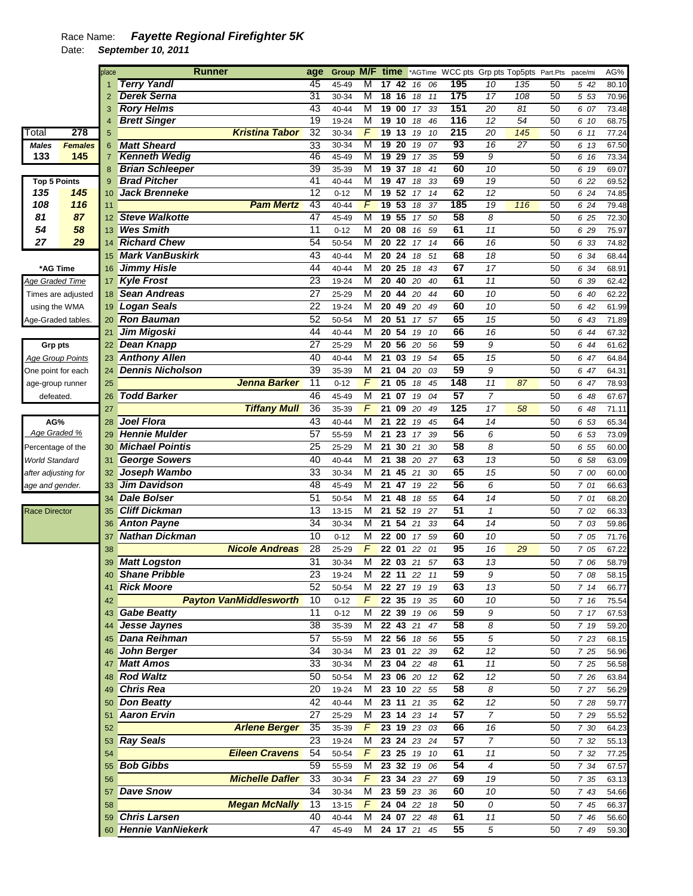|                       |                         | place | <b>Runner</b>           |                               | age             | Group M/F time |                |                       |               |     | *AGTime WCC pts Grp pts Top5pts Part.Pts |                 |                 | pace/mi | AG%   |
|-----------------------|-------------------------|-------|-------------------------|-------------------------------|-----------------|----------------|----------------|-----------------------|---------------|-----|------------------------------------------|-----------------|-----------------|---------|-------|
|                       |                         |       | <b>Terry Yandl</b>      |                               | 45              | 45-49          | м              | 1742                  | 06<br>16      | 195 | $\overline{10}$                          | 135             | 50              | 5 42    | 80.10 |
|                       |                         |       | <b>Derek Serna</b>      |                               | 31              | 30-34          | M              | $18 \t16$             | 18<br>11      | 175 | $\overline{17}$                          | 108             | 50              | 5 5 3   | 70.96 |
|                       |                         | 3     | <b>Rory Helms</b>       |                               | 43              | 40-44          | M              | 1900                  | 17<br>33      | 151 | $\overline{20}$                          | 81              | 50              | 6 07    | 73.48 |
|                       |                         | 4     | <b>Brett Singer</b>     |                               | 19              | 19-24          | M              | 19 <sub>10</sub>      | 18<br>46      | 116 | $\overline{12}$                          | 54              | 50              | 6 10    | 68.75 |
| Total                 | 278                     | 5     |                         | <b>Kristina Tabor</b>         | 32              | 30-34          | $\overline{F}$ | 19<br>13              | 19<br>10      | 215 | $\overline{20}$                          | 145             | 50              | 6 11    | 77.24 |
| <b>Males</b>          | <b>Females</b>          | 6     | <b>Matt Sheard</b>      |                               | 33              | 30-34          | M              | 19 <sup>20</sup>      | 19 07         | 93  | 16                                       | $\overline{27}$ | 50              | 6 13    | 67.50 |
| 133                   | 145                     | 7     | <b>Kenneth Wedig</b>    |                               | 46              | 45-49          | M              | $19$ 29               | 35<br>17      | 59  | 9                                        |                 | 50              | 6 16    | 73.34 |
|                       |                         | 8     | <b>Brian Schleeper</b>  |                               | 39              | 35-39          | M              | 1937                  | 18<br>41      | 60  | 10                                       |                 | 50              | 6 19    | 69.07 |
| <b>Top 5 Points</b>   |                         | 9     | <b>Brad Pitcher</b>     |                               | 41              | 40-44          | M              | 19<br>$\overline{47}$ | 33<br>18      | 69  | 19                                       |                 | 50              | 6 22    | 69.52 |
| 135                   | 145                     | 10    | <b>Jack Brenneke</b>    |                               | 12              | $0 - 12$       | M              | 19 52                 | 17<br>14      | 62  | $\overline{12}$                          |                 | 50              | 6 24    | 74.85 |
| 108                   | 116                     | 11    |                         | <b>Pam Mertz</b>              | 43              | 40-44          | F              | 19 <sub>53</sub>      | 18<br>37      | 185 | 19                                       | 116             | 50              | 6 24    | 79.48 |
| 81                    | 87                      | 12    | <b>Steve Walkotte</b>   |                               | 47              | 45-49          | M              | 19 55                 | 17<br>50      | 58  | 8                                        |                 | 50              | 6 25    | 72.30 |
| 54                    | 58                      | 13    | <b>Wes Smith</b>        |                               | 11              | $0 - 12$       | M              | 20 08                 | 59<br>16      | 61  | 11                                       |                 | 50              | 6 29    | 75.97 |
| 27                    | 29                      | 14    | <b>Richard Chew</b>     |                               | 54              | 50-54          | M              | 20 22                 | 14<br>17      | 66  | 16                                       |                 | 50              | 6 33    | 74.82 |
|                       |                         | 15    | <b>Mark VanBuskirk</b>  |                               | 43              | 40-44          | M              | 20<br>24              | 18<br>51      | 68  | 18                                       |                 | 50              | 6 34    | 68.44 |
| *AG Time              |                         | 16    | <b>Jimmy Hisle</b>      |                               | 44              | 40-44          | M              | 20 25                 | 18<br>43      | 67  | 17                                       |                 | 50              | 6 34    | 68.91 |
| Age Graded Time       |                         | 17    | <b>Kyle Frost</b>       |                               | 23              | 19-24          | M              | 20 40                 | 20<br>40      | 61  | 11                                       |                 | 50              | 6 39    | 62.42 |
|                       | Times are adjusted      | 18    | <b>Sean Andreas</b>     |                               | 27              | 25-29          | M              | 20 44 20              | 44            | 60  | 10                                       |                 | 50              | 6 40    | 62.22 |
|                       | using the WMA           | 19    | <b>Logan Seals</b>      |                               | $\overline{22}$ | 19-24          | M              | 20 49 20              | 49            | 60  | 10                                       |                 | 50              | 6 42    | 61.99 |
|                       | Age-Graded tables.      | 20    | <b>Ron Bauman</b>       |                               | 52              | 50-54          | M              | 20 51                 | 17 57         | 65  | 15                                       |                 | 50              | 6 43    | 71.89 |
|                       |                         | 21    | <b>Jim Migoski</b>      |                               | 44              | 40-44          | M              | 20 54                 | 19<br>10      | 66  | 16                                       |                 | 50              | 6 44    | 67.32 |
| Grp pts               |                         | 22    | Dean Knapp              |                               | 27              | 25-29          | M              | 20 56 20              | 56            | 59  | 9                                        |                 | 50              | 6 44    | 61.62 |
|                       | <b>Age Group Points</b> | 23    | <b>Anthony Allen</b>    |                               | 40              | $40 - 44$      | M              | 21<br>03              | 54<br>19      | 65  | 15                                       |                 | 50              | 6 47    | 64.84 |
|                       |                         | 24    | <b>Dennis Nicholson</b> |                               | 39              | 35-39          | M              | 21 04                 | 20<br>03      | 59  | 9                                        |                 | 50              | 6 47    |       |
| One point for each    |                         |       |                         | Jenna Barker                  | 11              |                | F              | 21 05                 | 18<br>45      | 148 | 11                                       | 87              | 50              |         | 64.31 |
| age-group runner      |                         | 25    | <b>Todd Barker</b>      |                               | 46              | $0 - 12$       | $\overline{M}$ | 21 07                 |               | 57  | $\overline{7}$                           |                 |                 | 6 47    | 78.93 |
| defeated.             |                         | 26    |                         |                               |                 | 45-49          |                |                       | 19<br>04      |     |                                          |                 | 50              | 6 48    | 67.67 |
|                       |                         | 27    |                         | <b>Tiffany Mull</b>           | 36              | 35-39          | F              | 21<br>09              | 20<br>49      | 125 | 17                                       | 58              | 50              | 6 48    | 71.11 |
| AG%                   |                         | 28    | <b>Joel Flora</b>       |                               | 43              | 40-44          | M              | 22<br>21              | 19<br>45      | 64  | 14                                       |                 | 50              | 6 53    | 65.34 |
| Age Graded %          |                         | 29    | <b>Hennie Mulder</b>    |                               | 57              | 55-59          | M              | 21 23                 | 39<br>17      | 56  | 6                                        |                 | 50              | 6 53    | 73.09 |
| Percentage of the     |                         | 30    | <b>Michael Pointis</b>  |                               | 25              | 25-29          | M              | 21<br>30              | 21<br>30      | 58  | 8                                        |                 | 50              | 6 55    | 60.00 |
| <b>World Standard</b> |                         | 31    | <b>George Sowers</b>    |                               | 40              | 40-44          | M              | 21<br>38              | 20<br>27      | 63  | 13                                       |                 | 50              | 6 58    | 63.09 |
| after adjusting for   |                         | 32    | Joseph Wambo            |                               | $\overline{33}$ | 30-34          | M              | 21<br>45              | 21<br>30      | 65  | $\overline{15}$                          |                 | 50              | 7 00    | 60.00 |
| age and gender.       |                         | 33    | <b>Jim Davidson</b>     |                               | 48              | 45-49          | M              | 21 47                 | 19<br>22      | 56  | 6                                        |                 | 50              | 7 01    | 66.63 |
|                       |                         | 34    | <b>Dale Bolser</b>      |                               | 51              | 50-54          | M              | 21 48                 | 18<br>55      | 64  | 14                                       |                 | 50              | 7 01    | 68.20 |
| <b>Race Director</b>  |                         | 35    | <b>Cliff Dickman</b>    |                               | 13              | $13 - 15$      | M              | 21 52                 | 19 27         | 51  | $\mathbf{1}$                             |                 | 50              | 7 02    | 66.33 |
|                       |                         | 36    | <b>Anton Payne</b>      |                               | 34              | 30-34          | M              | 21 54                 | 21<br>33      | 64  | 14                                       |                 | 50              | 7 03    | 59.86 |
|                       |                         | 37    | <b>Nathan Dickman</b>   |                               | 10              | $0 - 12$       | M              | 22 00                 | 17 59         | 60  | 10                                       |                 | 50              | 7 05    | 71.76 |
|                       |                         | 38    |                         | <b>Nicole Andreas</b>         | 28              | 25-29          | $\sqrt{2}$     | 22 01                 | 22<br>01      | 95  | 16                                       | 29              | 50              | 7 05    | 67.22 |
|                       |                         | 39    | <b>Matt Logston</b>     |                               | 31              | 30-34          | M              | 22 03 21              | 57            | 63  | 13                                       |                 | 50              | 7 06    | 58.79 |
|                       |                         |       | <b>Shane Pribble</b>    |                               | 23              | 19-24          | $\overline{M}$ |                       | 22 11 22 11   | 59  | 9                                        |                 | $\overline{50}$ | 7 08    | 58.15 |
|                       |                         | 41    | <b>Rick Moore</b>       |                               | 52              | 50-54          | M              |                       | 22 27 19 19   | 63  | 13                                       |                 | 50              | 714     | 66.77 |
|                       |                         | 42    |                         | <b>Payton VanMiddlesworth</b> | 10              | $0 - 12$       | $\sqrt{F}$     |                       | 22 35 19 35   | 60  | 10                                       |                 | 50              | 7 16    | 75.54 |
|                       |                         | 43    | <b>Gabe Beatty</b>      |                               | 11              | $0 - 12$       | M              |                       | 22 39 19 06   | 59  | 9                                        |                 | 50              | 7 17    | 67.53 |
|                       |                         | 44    | Jesse Jaynes            |                               | 38              | 35-39          | M              |                       | 22 43 21 47   | 58  | 8                                        |                 | 50              | 7 19    | 59.20 |
|                       |                         |       | <b>Dana Reihman</b>     |                               | 57              | 55-59          | M              |                       | 22 56 18 56   | 55  | 5                                        |                 | 50              | 7 23    | 68.15 |
|                       |                         |       | <b>John Berger</b>      |                               | 34              | 30-34          | M              |                       | 23 01 22 39   | 62  | 12                                       |                 | 50              | 7 25    | 56.96 |
|                       |                         | 47    | <b>Matt Amos</b>        |                               | 33              | 30-34          | M              |                       | 23 04 22 48   | 61  | $11$                                     |                 | 50              | 7 25    | 56.58 |
|                       |                         | 48    | <b>Rod Waltz</b>        |                               | 50              | 50-54          | М              |                       | 23 06 20 12   | 62  | 12                                       |                 | 50              | 7 26    | 63.84 |
|                       |                         | 49    | <b>Chris Rea</b>        |                               | 20              | 19-24          | M              |                       | 23 10 22 55   | 58  | 8                                        |                 | 50              | 7 27    | 56.29 |
|                       |                         | 50    | <b>Don Beatty</b>       |                               | 42              | 40-44          | M              | 23 11 21              | 35            | 62  | 12                                       |                 | 50              | 7 28    | 59.77 |
|                       |                         | 51    | <b>Aaron Ervin</b>      |                               | 27              | 25-29          | M              |                       | 23 14 23 14   | 57  | $\overline{7}$                           |                 | 50              | 7 29    | 55.52 |
|                       |                         | 52    |                         | <b>Arlene Berger</b>          | 35              | 35-39          | F              |                       | 23 19 23 03   | 66  | 16                                       |                 | 50              | 7 30    | 64.23 |
|                       |                         | 53    | <b>Ray Seals</b>        |                               | 23              | 19-24          | M              |                       | 23 24 23 24   | 57  | 7                                        |                 | 50              | 7 32    |       |
|                       |                         |       |                         | <b>Eileen Cravens</b>         | 54              | 50-54          | $\mathcal{F}$  |                       | 23 25 19 10   | 61  | 11                                       |                 |                 |         | 55.13 |
|                       |                         | 54    | <b>Bob Gibbs</b>        |                               | 59              |                |                |                       |               | 54  |                                          |                 | 50              | 7 32    | 77.25 |
|                       |                         | 55    |                         |                               |                 | 55-59          | м              |                       | 23 32 19 06   |     | 4                                        |                 | 50              | 7 34    | 67.57 |
|                       |                         | 56    |                         | <b>Michelle Dafler</b>        | 33              | 30-34          | F              |                       | 23 34 23 27   | 69  | 19                                       |                 | 50              | 7 35    | 63.13 |
|                       |                         | 57    | <b>Dave Snow</b>        |                               | 34              | 30-34          | M              |                       | 23 59 23 36   | 60  | 10                                       |                 | 50              | 7 43    | 54.66 |
|                       |                         | 58    |                         | <b>Megan McNally</b>          | 13              | 13-15          | $\mathcal{F}$  |                       | 24 04 22 18   | 50  | 0                                        |                 | 50              | 7 45    | 66.37 |
|                       |                         | 59    | <b>Chris Larsen</b>     |                               | 40              | 40-44          | м              |                       | 24 07 22 48   | 61  | $11$                                     |                 | 50              | 7 46    | 56.60 |
|                       |                         |       | 60 Hennie VanNiekerk    |                               | 47              | 45-49          |                |                       | M 24 17 21 45 | 55  | 5                                        |                 | 50              | 7 49    | 59.30 |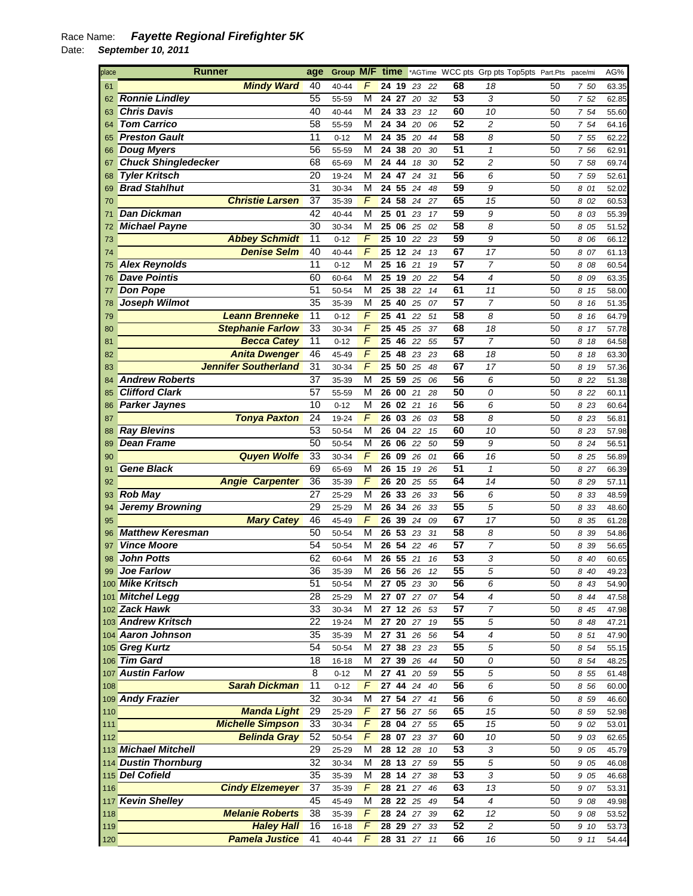| place | <b>Runner</b>               | age             | Group M/F time |                |          |          |    |    |                 | *AGTime WCC pts Grp pts Top5pts Part.Pts |    | pace/mi | AG%   |
|-------|-----------------------------|-----------------|----------------|----------------|----------|----------|----|----|-----------------|------------------------------------------|----|---------|-------|
| 61    | <b>Mindy Ward</b>           | 40              | 40-44          | F              | 24 19    |          | 23 | 22 | 68              | 18                                       | 50 | 750     | 63.35 |
| 62    | <b>Ronnie Lindley</b>       | 55              | 55-59          | M              | 24       | 27       | 20 | 32 | 53              | 3                                        | 50 | 7 52    | 62.85 |
| 63    | <b>Chris Davis</b>          | 40              | 40-44          | М              | 24 33    |          | 23 | 12 | 60              | 10                                       | 50 | 7 54    | 55.60 |
| 64    | <b>Tom Carrico</b>          | 58              | 55-59          | М              | 24       | 34       | 20 | 06 | 52              | $\overline{c}$                           | 50 | 7 54    | 64.16 |
| 65    | <b>Preston Gault</b>        | 11              | $0 - 12$       | М              | 24 35    |          | 20 | 44 | 58              | 8                                        | 50 | 7 55    | 62.22 |
| 66    | <b>Doug Myers</b>           | 56              | 55-59          | М              | 24       | 38       | 20 | 30 | 51              | 1                                        | 50 | 7 56    | 62.91 |
| 67    | <b>Chuck Shingledecker</b>  | 68              | 65-69          | М              | 24 44    |          | 18 | 30 | 52              | 2                                        | 50 | 7 58    | 69.74 |
|       | <b>Tyler Kritsch</b>        | 20              |                | М              | 24 47    |          |    |    | 56              | 6                                        | 50 |         |       |
| 68    |                             |                 | 19-24          |                |          |          | 24 | 31 | 59              |                                          |    | 7 59    | 52.61 |
| 69    | <b>Brad Stahlhut</b>        | 31              | 30-34          | М              | 24 55    |          | 24 | 48 |                 | 9                                        | 50 | 8 01    | 52.02 |
| 70    | <b>Christie Larsen</b>      | 37              | 35-39          | $\overline{F}$ | 24       | 58       | 24 | 27 | 65              | 15                                       | 50 | 8 02    | 60.53 |
| 71    | <b>Dan Dickman</b>          | 42              | 40-44          | М              | 25       | 01       | 23 | 17 | 59              | 9                                        | 50 | 8 03    | 55.39 |
| 72    | <b>Michael Payne</b>        | 30              | 30-34          | М              | 25       | 06       | 25 | 02 | 58              | 8                                        | 50 | 8 05    | 51.52 |
| 73    | <b>Abbey Schmidt</b>        | 11              | $0 - 12$       | F              | 25       | 10       | 22 | 23 | 59              | 9                                        | 50 | 8 06    | 66.12 |
| 74    | <b>Denise Selm</b>          | 40              | 40-44          | F              | 25       | 12       | 24 | 13 | 67              | 17                                       | 50 | 8 07    | 61.13 |
| 75    | <b>Alex Reynolds</b>        | 11              | $0 - 12$       | М              | 25 16    |          | 21 | 19 | 57              | 7                                        | 50 | 8 08    | 60.54 |
| 76    | <b>Dave Pointis</b>         | 60              | 60-64          | М              | 25       | 19       | 20 | 22 | 54              | $\overline{4}$                           | 50 | 8 09    | 63.35 |
|       | <b>Don Pope</b>             | 51              | 50-54          | М              | 25       | 38       | 22 | 14 | 61              | 11                                       | 50 | 8 15    | 58.00 |
| 78    | Joseph Wilmot               | 35              | 35-39          | М              | 25       | 40       | 25 | 07 | 57              | $\overline{7}$                           | 50 | 8 16    | 51.35 |
| 79    | <b>Leann Brenneke</b>       | $\overline{11}$ | $0 - 12$       | F              | 25       | 41       | 22 | 51 | 58              | 8                                        | 50 | 8 16    | 64.79 |
| 80    | <b>Stephanie Farlow</b>     | 33              | 30-34          | F              | 25       | 45       | 25 | 37 | 68              | 18                                       | 50 | 8 17    | 57.78 |
| 81    | <b>Becca Catev</b>          | 11              | $0 - 12$       | F              | 25       | 46       | 22 | 55 | 57              | $\overline{7}$                           | 50 | 8 18    | 64.58 |
| 82    | <b>Anita Dwenger</b>        | 46              | 45-49          | $\overline{F}$ | 25       | 48       | 23 | 23 | 68              | 18                                       | 50 | 8 18    | 63.30 |
| 83    | <b>Jennifer Southerland</b> | 31              | 30-34          | F              | 25       | 50       | 25 | 48 | 67              | 17                                       | 50 | 8 19    | 57.36 |
| 84    | <b>Andrew Roberts</b>       | 37              | 35-39          | М              | 25       | 59       | 25 | 06 | 56              | 6                                        | 50 | 8 22    | 51.38 |
| 85    | <b>Clifford Clark</b>       | 57              | 55-59          | М              | 26       | 00       | 21 | 28 | 50              | 0                                        | 50 | 8 2 2   | 60.11 |
| 86    | <b>Parker Jaynes</b>        | 10              | $0 - 12$       | М              | 26       | 02221    |    | 16 | 56              | 6                                        | 50 | 8 23    | 60.64 |
| 87    | <b>Tonya Paxton</b>         | 24              | 19-24          | F              | 26       | 03       | 26 | 03 | 58              | 8                                        | 50 | 8 23    | 56.81 |
| 88    | <b>Ray Blevins</b>          | 53              | 50-54          | М              | 26       | 04       | 22 | 15 | 60              | 10                                       | 50 | 8 23    | 57.98 |
| 89    | <b>Dean Frame</b>           | 50              | 50-54          | М              | 26       | 06       | 22 | 50 | 59              | 9                                        | 50 | 8 2 4   | 56.51 |
| 90    | <b>Quyen Wolfe</b>          | 33              | 30-34          | F              | 26       | 09       | 26 | 01 | 66              | 16                                       | 50 | 8 25    | 56.89 |
| 91    | <b>Gene Black</b>           | 69              | 65-69          | М              | 26       | 15       | 19 | 26 | 51              | $\mathbf{1}$                             | 50 | 8 27    | 66.39 |
| 92    | <b>Angie Carpenter</b>      | 36              | 35-39          | F              | 26 20    |          | 25 | 55 | 64              | 14                                       | 50 | 8 29    | 57.11 |
| 93    | <b>Rob May</b>              | 27              | 25-29          | М              | 26       | 33       | 26 | 33 | 56              | 6                                        | 50 | 8 33    | 48.59 |
|       | <b>Jeremy Browning</b>      | 29              |                | М              |          | 34       |    |    | 55              | 5                                        | 50 |         |       |
| 94    |                             | 46              | 25-29          | $\overline{F}$ | 26<br>26 | 39       | 26 | 33 | 67              | 17                                       | 50 | 833     | 48.60 |
| 95    | <b>Mary Catey</b>           |                 | 45-49          |                |          |          | 24 | 09 |                 |                                          |    | 8 35    | 61.28 |
| 96    | <b>Matthew Keresman</b>     | 50              | 50-54          | М              | 26       | 53       | 23 | 31 | 58              | 8<br>7                                   | 50 | 8 39    | 54.86 |
| 97    | <b>Vince Moore</b>          | 54              | 50-54          | М              | 26       | 54       | 22 | 46 | 57              |                                          | 50 | 8 39    | 56.65 |
| 98    | <b>John Potts</b>           | 62              | 60-64          | М              | 26       | -55      | 21 | 16 | 53              | 3                                        | 50 | 8 40    | 60.65 |
|       | 99 Joe Farlow               | 36              | 35-39          | М              |          | 26 56 26 |    | 12 | 55              | 5                                        | 50 | 8 40    | 49.23 |
|       | 100 Mike Kritsch            | 51              | 50-54          | М              |          | 27 05 23 |    | 30 | 56              | 6                                        | 50 | 8 43    | 54.90 |
|       | 101 Mitchel Legg            | 28              | 25-29          | М              |          | 27 07 27 |    | 07 | 54              | 4                                        | 50 | 8 4 4   | 47.58 |
|       | 102 Zack Hawk               | 33              | 30-34          | М              |          | 27 12 26 |    | 53 | 57              | 7                                        | 50 | 8 45    | 47.98 |
|       | 103 Andrew Kritsch          | 22              | 19-24          | М              |          | 27 20 27 |    | 19 | 55              | 5                                        | 50 | 8 48    | 47.21 |
|       | 104 Aaron Johnson           | 35              | 35-39          | М              | 27 31 26 |          |    | 56 | $\overline{54}$ | 4                                        | 50 | 8 51    | 47.90 |
|       | 105 Greg Kurtz              | 54              | 50-54          | М              |          | 27 38 23 |    | 23 | 55              | 5                                        | 50 | 8 54    | 55.15 |
|       | 106 Tim Gard                | 18              | $16 - 18$      | М              | 2739     |          | 26 | 44 | 50              | 0                                        | 50 | 8 54    | 48.25 |
|       | 107 Austin Farlow           | $\overline{8}$  | $0 - 12$       | М              | 2741     |          | 20 | 59 | 55              | 5                                        | 50 | 8 55    | 61.48 |
| 108   | <b>Sarah Dickman</b>        | 11              | $0 - 12$       | F              | 27 44 24 |          |    | 40 | 56              | 6                                        | 50 | 8 56    | 60.00 |
|       | 109 Andy Frazier            | 32              | 30-34          | М              |          | 27 54 27 |    | 41 | 56              | 6                                        | 50 | 8 5 9   | 46.60 |
| 110   | <b>Manda Light</b>          | 29              | 25-29          | F              |          | 27 56 27 |    | 56 | 65              | 15                                       | 50 | 8 5 9   | 52.98 |
| 111   | <b>Michelle Simpson</b>     | 33              | 30-34          | F              |          | 28 04 27 |    | 55 | 65              | 15                                       | 50 | 9 02    | 53.01 |
| 112   | <b>Belinda Gray</b>         | 52              | 50-54          | F              |          | 28 07 23 |    | 37 | 60              | 10                                       | 50 | 9 03    | 62.65 |
|       | 113 Michael Mitchell        | 29              | 25-29          | М              |          | 28 12 28 |    | 10 | 53              | 3                                        | 50 | 9 05    | 45.79 |
|       | 114 Dustin Thornburg        | 32              | 30-34          | М              |          | 28 13 27 |    | 59 | 55              | 5                                        | 50 | 9 05    | 46.08 |
|       | 115 Del Cofield             | 35              | 35-39          | М              |          | 28 14 27 |    | 38 | 53              | 3                                        | 50 | 9 05    | 46.68 |
| 116   | <b>Cindy Elzemeyer</b>      | 37              | 35-39          | F              |          | 28 21 27 |    | 46 | 63              | 13                                       | 50 | 9 07    | 53.31 |
|       | 117 Kevin Shelley           | 45              | 45-49          | М              |          | 28 22 25 |    | 49 | 54              | 4                                        | 50 | 9 08    | 49.98 |
| 118   | <b>Melanie Roberts</b>      | 38              | 35-39          | F              |          | 28 24 27 |    | 39 | 62              | 12                                       | 50 | 9 08    | 53.52 |
| 119   | <b>Haley Hall</b>           | 16              | 16-18          | F              |          | 28 29 27 |    | 33 | 52              | $\overline{c}$                           | 50 | 9 10    | 53.73 |
| 120   | <b>Pamela Justice</b>       | 41              | 40-44          | $\overline{F}$ |          | 28 31 27 |    | 11 | 66              | 16                                       | 50 | 9 11    | 54.44 |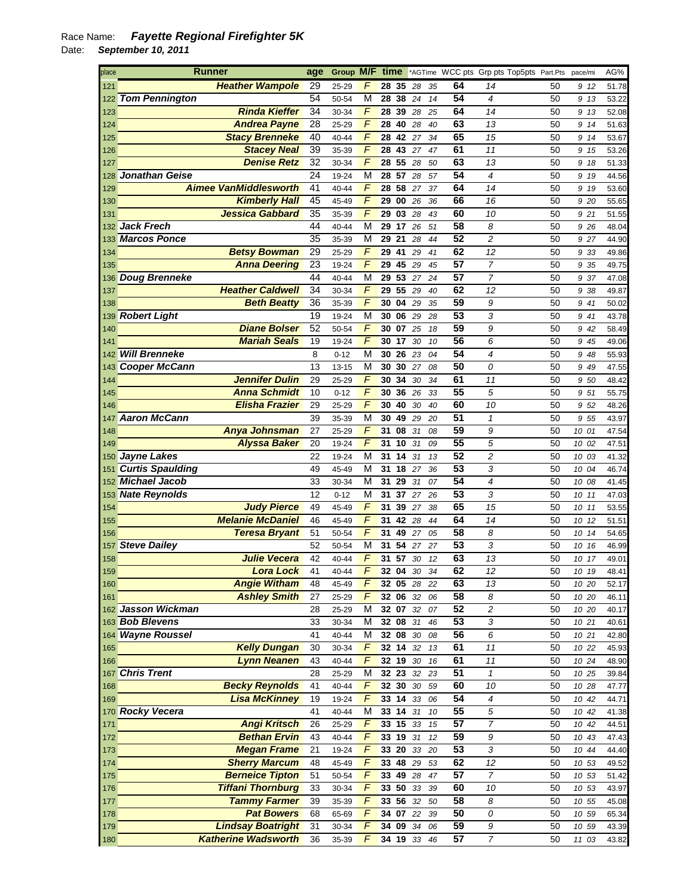| place      | <b>Runner</b>                              | age             | Group M/F      |                | time                            |                    |             |          |                 |                          | *AGTime WCC pts Grp pts Top5pts Part.Pts | pace/mi        | AG%            |
|------------|--------------------------------------------|-----------------|----------------|----------------|---------------------------------|--------------------|-------------|----------|-----------------|--------------------------|------------------------------------------|----------------|----------------|
| 121        | <b>Heather Wampole</b>                     | 29              | 25-29          | F              | 28 35                           |                    | 28          | 35       | 64              | 14                       | 50                                       | 9 12           | 51.78          |
| 122        | <b>Tom Pennington</b>                      | 54              | 50-54          | М              | 28                              | 38 24              |             | 14       | 54              | 4                        | 50                                       | 9 13           | 53.22          |
| 123        | <b>Rinda Kieffer</b>                       | 34              | 30-34          | F              | 28                              | 39                 | 28          | 25       | 64              | 14                       | 50                                       | 9 13           | 52.08          |
| 124        | <b>Andrea Payne</b>                        | 28              | 25-29          | F              | 28                              | 40                 | 28          | 40       | 63              | 13                       | 50                                       | 9 14           | 51.63          |
| 125        | <b>Stacy Brenneke</b>                      | 40              | 40-44          | F              | 28                              | 42                 | 27          | 34       | 65              | 15                       | 50                                       | 9 14           | 53.67          |
| 126        | <b>Stacey Neal</b>                         | 39              | 35-39          | F              | 28                              | 43                 | 27          | 47       | 61              | 11                       | 50                                       | 9 15           | 53.26          |
| 127        | <b>Denise Retz</b>                         | 32              | 30-34          | F              | 28                              | 55                 | 28          | 50       | 63              | 13                       | 50                                       | 9 18           | 51.33          |
| 128        | Jonathan Geise                             | 24              | 19-24          | М              | 28                              | 57                 | 28          | 57       | 54              | $\overline{4}$           | 50                                       | 9 19           | 44.56          |
| 129        | <b>Aimee VanMiddlesworth</b>               | 41              | 40-44          | F              | 28                              | 58                 | 27          | 37       | 64              | 14                       | 50                                       | 9 19           | 53.60          |
| 130        | <b>Kimberly Hall</b>                       | 45              | 45-49          | F              | 29                              | 00 26              |             | 36       | 66              | 16                       | 50                                       | 9 20           | 55.65          |
| 131        | <b>Jessica Gabbard</b>                     | $\overline{35}$ | 35-39          | F              | 29                              | 03                 | 28          | 43       | 60              | 10                       | 50                                       | 9 21           | 51.55          |
| 132        | <b>Jack Frech</b>                          | 44              | 40-44          | M              | 29                              | 17                 | 26          | 51       | 58              | 8                        | 50                                       | 9 26           | 48.04          |
| 133        | <b>Marcos Ponce</b>                        | 35              | 35-39          | M              | 29                              | 21                 | 28          | 44       | 52              | $\overline{c}$           | 50                                       | 9 27           | 44.90          |
| 134        | <b>Betsy Bowman</b>                        | 29              | 25-29          | F              | 29                              | 41                 | 29          | 41       | 62              | 12                       | 50                                       | 9 33           | 49.86          |
| 135        | <b>Anna Deering</b>                        | 23              | 19-24          | F              | 29                              | 45                 | 29          | 45       | 57              | $\overline{7}$           | 50                                       | 9 35           | 49.75          |
|            | 136 Doug Brenneke                          | 44              | 40-44          | М              | 29                              | $\overline{53}$ 27 |             | 24       | 57              | $\overline{7}$           | 50                                       | 9 37           | 47.08          |
| 137        | <b>Heather Caldwell</b>                    | 34              | 30-34          | F              | 29                              | 55                 | 29          | 40       | 62              | 12                       | 50                                       | 9 38           | 49.87          |
| 138        | <b>Beth Beatty</b>                         | 36              | 35-39          | F              | 30 04                           |                    | 29          | 35       | 59              | 9                        | 50                                       | 9 41           | 50.02          |
|            | 139 Robert Light                           | 19              | 19-24          | M              | 30                              | 06 29              |             | 28       | 53              | 3                        | 50                                       | 9 41           | 43.78          |
| 140        | <b>Diane Bolser</b>                        | 52              | 50-54          | F              | 30 07                           |                    | 25          | 18       | 59              | 9                        | 50                                       | 9 42           | 58.49          |
| 141        | <b>Mariah Seals</b>                        | 19              | 19-24          | F              | 30                              | 17                 | 30          | 10       | 56              | 6                        | 50                                       | 9 45           | 49.06          |
| 142        | <b>Will Brenneke</b>                       | 8               | $0 - 12$       | M              | 30                              | 26                 | 23          | 04       | 54              | $\overline{\mathcal{A}}$ | 50                                       | 9 48           | 55.93          |
|            | 143 Cooper McCann                          | 13              | $13 - 15$      | M              | 30                              | 30 27              |             | 08       | 50              | 0                        | 50                                       | 9 4 9          | 47.55          |
| 144        | <b>Jennifer Dulin</b>                      | 29              | 25-29          | F              | 30                              | 34                 | 30          | 34       | 61              | 11                       | 50                                       | 9 50           | 48.42          |
| 145        | <b>Anna Schmidt</b>                        | 10              | $0 - 12$       | F              | 30                              | 36                 | 26          | 33       | 55              | 5                        | 50                                       | 9 51           | 55.75          |
| 146        | <b>Elisha Frazier</b>                      | 29              | 25-29          | F              | 30                              | 40                 | 30          | 40       | 60              | 10                       | 50                                       | 9 52           | 48.26          |
| 147        | <b>Aaron McCann</b>                        | 39              | 35-39          | M<br>F         | 30<br>31                        | 49                 | 29          | 20       | 51<br>59        | 1                        | 50                                       | 9 55           | 43.97          |
| 148<br>149 | Anya Johnsman<br><b>Alyssa Baker</b>       | 27<br>20        | 25-29<br>19-24 | F              | 31                              | 08<br>10           | 31<br>31    | 08<br>09 | 55              | 9<br>5                   | 50<br>50                                 | 10 01<br>10 02 | 47.54          |
|            | 150 Jayne Lakes                            | 22              | 19-24          | M              | 31                              | 14                 | 31          | 13       | 52              | $\overline{c}$           | 50                                       | 10 03          | 47.51<br>41.32 |
| 151        | <b>Curtis Spaulding</b>                    | 49              | 45-49          | M              | 31                              | 18 27              |             | 36       | 53              | 3                        | 50                                       | 10 04          | 46.74          |
|            | 152 Michael Jacob                          | 33              | 30-34          | M              | 31                              | 29                 | 31          | 07       | 54              | 4                        | 50                                       | 10 08          | 41.45          |
|            | 153 Nate Reynolds                          | 12              | $0 - 12$       | М              | 31                              | 37                 | 27          | 26       | 53              | 3                        | 50                                       | 10 11          | 47.03          |
| 154        | <b>Judy Pierce</b>                         | 49              | 45-49          | F              | 31                              | 39                 | 27          | 38       | 65              | 15                       | 50                                       | 10 11          | 53.55          |
| 155        | <b>Melanie McDaniel</b>                    | 46              | 45-49          | F              | 31                              | 42 28              |             | 44       | 64              | 14                       | 50                                       | 10 12          | 51.51          |
| 156        | <b>Teresa Bryant</b>                       | 51              | 50-54          | F              | 31                              | 49                 | 27          | 05       | 58              | 8                        | 50                                       | 10 14          | 54.65          |
| 157        | <b>Steve Dailey</b>                        | 52              | 50-54          | М              | 31                              | $\overline{54}$    | 27          | 27       | 53              | 3                        | 50                                       | 10 16          | 46.99          |
| 158        | <b>Julie Vecera</b>                        | 42              | 40-44          | F              | 31                              | 57                 | 30          | 12       | 63              | 13                       | 50                                       | 10 17          | 49.01          |
| 159        | <b>Lora Lock</b>                           | 41              | 40-44          | $\overline{F}$ | 32 04                           |                    | 30          | 34       | 62              | 12                       | 50                                       | 10 19          | 48.41          |
| 160        | <b>Angie Witham</b>                        | 48              | 45-49          | F              |                                 |                    | 32 05 28 22 |          | 63              | 13                       | 50                                       | 10 20          | 52.17          |
| 161        | <b>Ashley Smith</b>                        | 27              | 25-29          | F              | 32 06 32                        |                    |             | 06       | $\overline{58}$ | 8                        | 50                                       | 10 20          | 46.11          |
|            | 162 Jasson Wickman                         | 28              | 25-29          | M              | 32 07                           |                    | 32          | 07       | 52              | 2                        | 50                                       | 10 20          | 40.17          |
|            | 163 Bob Blevens                            | 33              | 30-34          | M              | 32 08                           |                    | 31          | 46       | 53              | 3                        | 50                                       | 10 21          | 40.61          |
|            | 164 Wayne Roussel                          | 41              | 40-44          | М              | 32 08 30                        |                    |             | 08       | 56              | 6                        | 50                                       | 10 21          | 42.80          |
| 165        | <b>Kelly Dungan</b>                        | 30              | 30-34          | F              | 32 14 32                        |                    |             | 13       | 61              | 11                       | 50                                       | 10 22          | 45.93          |
| 166        | <b>Lynn Neanen</b>                         | 43              | 40-44          | F              | 32 19                           |                    | 30          | 16       | 61              | 11                       | 50                                       | 10 24          | 48.90          |
|            | 167 Chris Trent                            | 28              | 25-29          | M              | $\overline{32}$ 23              |                    | 32          | 23       | 51              | $\mathbf{1}$             | 50                                       | 10 25          | 39.84          |
| 168        | <b>Becky Reynolds</b>                      | 41              | 40-44          | $\sqrt{2}$     | 32 30                           |                    | 30          | 59       | 60              | 10                       | 50                                       | 10 28          | 47.77          |
| 169        | <b>Lisa McKinney</b>                       | 19              | 19-24          | $\overline{F}$ | $\overline{33}$ $\overline{14}$ |                    | 33          | 06       | 54              | $\overline{4}$           | 50                                       | 10 42          | 44.71          |
|            | 170 Rocky Vecera                           | 41              | 40-44          | М              | $33$ 14 31                      |                    |             | 10       | 55              | 5                        | 50                                       | 10 42          | 41.38          |
| 171        | <b>Angi Kritsch</b>                        | 26              | 25-29          | F              | 33 15                           |                    | 33          | 15       | $\overline{57}$ | $\boldsymbol{7}$         | 50                                       | 10 42          | 44.51          |
| 172        | <b>Bethan Ervin</b>                        | 43              | 40-44          | F<br>F         | 33 19 31                        |                    |             | 12       | 59<br>53        | 9                        | 50                                       | 10 43          | 47.43          |
| 173        | <b>Megan Frame</b><br><b>Sherry Marcum</b> | 21<br>48        | 19-24          | F              | 33 20<br>33 48                  |                    | 33          | 20       | 62              | 3<br>12                  | 50<br>50                                 | 10 44          | 44.40          |
| 174<br>175 | <b>Berneice Tipton</b>                     | 51              | 45-49<br>50-54 | $\overline{F}$ | 33                              | 49                 | 29<br>28    | 53<br>47 | 57              | $\overline{7}$           | 50                                       | 10 53<br>10 53 | 49.52<br>51.42 |
| 176        | <b>Tiffani Thornburg</b>                   | 33              | 30-34          | $\overline{F}$ | 33 50 33                        |                    |             | 39       | 60              | 10                       | 50                                       | 10 53          | 43.97          |
| 177        | <b>Tammy Farmer</b>                        | 39              | 35-39          | $\overline{F}$ | 33 56                           |                    | 32          | 50       | 58              | 8                        | 50                                       | 10 55          | 45.08          |
| 178        | <b>Pat Bowers</b>                          | 68              | 65-69          | F              | 34 07 22                        |                    |             | 39       | 50              | 0                        | 50                                       | 10 59          | 65.34          |
| 179        | <b>Lindsay Boatright</b>                   | 31              | 30-34          | F              | 34 09                           |                    | 34          | 06       | 59              | 9                        | 50                                       | 10 59          | 43.39          |
| 180        | <b>Katherine Wadsworth</b>                 | 36              | 35-39          | F              | 34 19 33                        |                    |             | 46       | 57              | $\boldsymbol{7}$         | 50                                       | 11 03          | 43.82          |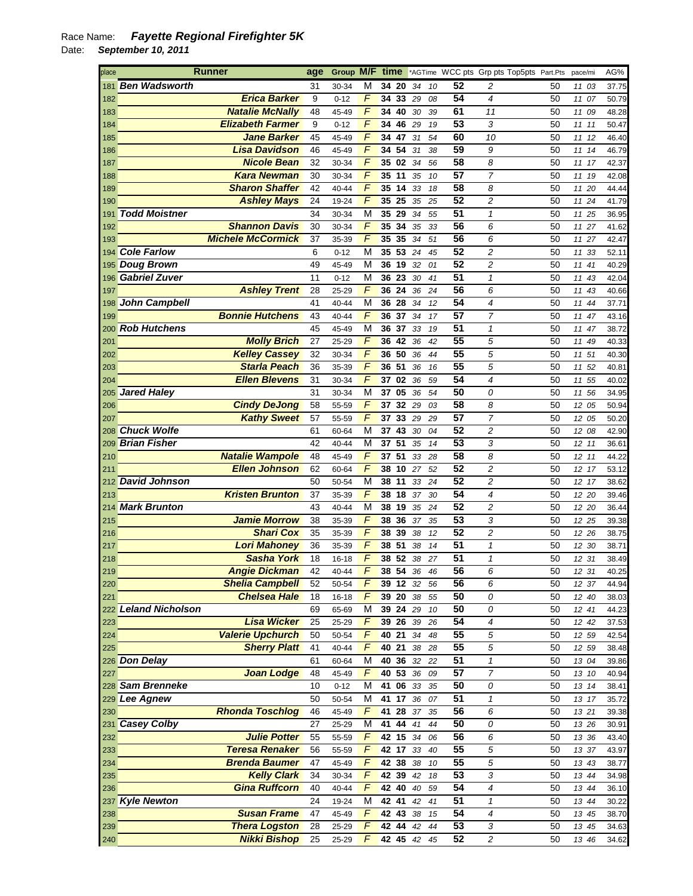| place | <b>Runner</b>            | age | Group M/F time |                |                   |          |    |    |                 | *AGTime WCC pts Grp pts Top5pts Part.Pts |    | pace/mi  | AG%   |
|-------|--------------------------|-----|----------------|----------------|-------------------|----------|----|----|-----------------|------------------------------------------|----|----------|-------|
| 181   | <b>Ben Wadsworth</b>     | 31  | 30-34          | М              |                   | 34 20    | 34 | 10 | 52              | 2                                        | 50 | 11 03    | 37.75 |
| 182   | <b>Erica Barker</b>      | 9   | $0 - 12$       | F              |                   | 34 33    | 29 | 08 | $\overline{54}$ | $\overline{\mathcal{A}}$                 | 50 | 11 07    | 50.79 |
| 183   | <b>Natalie McNally</b>   | 48  | 45-49          | F              |                   | 34 40    | 30 | 39 | 61              | 11                                       | 50 | 11 09    | 48.28 |
| 184   | <b>Elizabeth Farmer</b>  | 9   | $0 - 12$       | F              | 34                | 46       | 29 | 19 | 53              | 3                                        | 50 | 11 11    | 50.47 |
| 185   | Jane Barker              | 45  | 45-49          | F              |                   | 34 47    | 31 | 54 | 60              | 10                                       | 50 | 11 12    | 46.40 |
| 186   | <b>Lisa Davidson</b>     | 46  | 45-49          | $\overline{F}$ | 34 54             |          | 31 | 38 | 59              | 9                                        | 50 | 11 14    | 46.79 |
| 187   | <b>Nicole Bean</b>       | 32  | 30-34          | F              | 35 02             |          | 34 | 56 | 58              | 8                                        | 50 | 11 17    | 42.37 |
| 188   | <b>Kara Newman</b>       | 30  | 30-34          | F              | 35 11             |          | 35 | 10 | 57              | 7                                        | 50 | 11 19    | 42.08 |
| 189   | <b>Sharon Shaffer</b>    | 42  | 40-44          | F              |                   | 35 14    | 33 | 18 | 58              | 8                                        | 50 | 11 20    | 44.44 |
| 190   | <b>Ashley Mays</b>       | 24  | 19-24          | $\overline{F}$ | 35 25             |          | 35 | 25 | 52              | $\overline{c}$                           | 50 | 11 24    | 41.79 |
| 191   | <b>Todd Moistner</b>     | 34  | 30-34          | М              |                   | 35 29    | 34 | 55 | 51              | $\mathcal I$                             | 50 | 11 25    | 36.95 |
| 192   | <b>Shannon Davis</b>     | 30  | 30-34          | $\overline{F}$ | 35                | 34       | 35 | 33 | 56              | 6                                        | 50 | 11 27    | 41.62 |
| 193   | <b>Michele McCormick</b> | 37  | 35-39          | F              | 35                | 35       | 34 | 51 | 56              | 6                                        | 50 | 11 27    | 42.47 |
|       | 194 Cole Farlow          | 6   | $0 - 12$       | M              | 35 53             |          | 24 | 45 | 52              | $\overline{c}$                           | 50 | 11 33    | 52.11 |
|       | 195 Doug Brown           | 49  | 45-49          | М              |                   | 36 19    | 32 | 01 | 52              | 2                                        | 50 | 11 41    | 40.29 |
|       | 196 Gabriel Zuver        | 11  | $0 - 12$       | М              | 36 23             |          | 30 | 41 | 51              | $\mathbf{1}$                             | 50 | 11<br>43 | 42.04 |
| 197   | <b>Ashley Trent</b>      | 28  | 25-29          | F              |                   | 36 24    | 36 | 24 | 56              | 6                                        | 50 | 11 43    | 40.66 |
|       | 198 John Campbell        | 41  |                | M              |                   | 36 28    |    | 12 | 54              | 4                                        | 50 |          |       |
|       | <b>Bonnie Hutchens</b>   |     | 40-44          | F              |                   |          | 34 |    | 57              | $\overline{7}$                           |    | 11 44    | 37.71 |
| 199   |                          | 43  | 40-44          |                | 36 37             |          | 34 | 17 | 51              |                                          | 50 | 11 47    | 43.16 |
|       | 200 Rob Hutchens         | 45  | 45-49          | M              | 36                | 37       | 33 | 19 |                 | $\mathbf{1}$                             | 50 | 11<br>47 | 38.72 |
| 201   | <b>Molly Brich</b>       | 27  | 25-29          | F              | 36 42             |          | 36 | 42 | 55              | 5                                        | 50 | 11<br>49 | 40.33 |
| 202   | <b>Kelley Cassey</b>     | 32  | 30-34          | $\overline{F}$ | 36 50             |          | 36 | 44 | 55              | 5                                        | 50 | 11 51    | 40.30 |
| 203   | <b>Starla Peach</b>      | 36  | 35-39          | $\overline{F}$ | $36\ 51$          |          | 36 | 16 | 55              | 5                                        | 50 | 11 52    | 40.81 |
| 204   | <b>Ellen Blevens</b>     | 31  | 30-34          | F              | 37                | 02       | 36 | 59 | 54              | 4                                        | 50 | 11<br>55 | 40.02 |
| 205   | <b>Jared Haley</b>       | 31  | 30-34          | М              | 37 05             |          | 36 | 54 | 50              | 0                                        | 50 | 11 56    | 34.95 |
| 206   | <b>Cindy DeJong</b>      | 58  | 55-59          | F              | 37                | 32       | 29 | 03 | 58              | 8                                        | 50 | 12 05    | 50.94 |
| 207   | <b>Kathy Sweet</b>       | 57  | 55-59          | F              | 37                | 33       | 29 | 29 | 57              | 7                                        | 50 | 12 05    | 50.20 |
| 208   | <b>Chuck Wolfe</b>       | 61  | 60-64          | М              | 37                | 43       | 30 | 04 | 52              | $\overline{c}$                           | 50 | 12 08    | 42.90 |
| 209   | <b>Brian Fisher</b>      | 42  | 40-44          | М              | 37                | 51       | 35 | 14 | 53              | 3                                        | 50 | 12<br>11 | 36.61 |
| 210   | <b>Natalie Wampole</b>   | 48  | 45-49          | F              | 37 51             |          | 33 | 28 | 58              | 8                                        | 50 | 12 11    | 44.22 |
| 211   | <b>Ellen Johnson</b>     | 62  | 60-64          | F              | 38 10             |          | 27 | 52 | 52              | $\overline{c}$                           | 50 | 12 17    | 53.12 |
| 212   | <b>David Johnson</b>     | 50  | 50-54          | М              | 38 11             |          | 33 | 24 | 52              | 2                                        | 50 | 12 17    | 38.62 |
| 213   | <b>Kristen Brunton</b>   | 37  | 35-39          | F              |                   | 38 18    | 37 | 30 | 54              | 4                                        | 50 | 12 20    | 39.46 |
|       | 214 Mark Brunton         | 43  | 40-44          | М              |                   | 38 19    | 35 | 24 | $\overline{52}$ | 2                                        | 50 | 12 20    | 36.44 |
| 215   | <b>Jamie Morrow</b>      | 38  | 35-39          | F              | 38                | 36       | 37 | 35 | $\overline{53}$ | 3                                        | 50 | 12 25    | 39.38 |
| 216   | <b>Shari Cox</b>         | 35  | 35-39          | F              |                   | 38 39    | 38 | 12 | 52              | $\overline{c}$                           | 50 | 12 26    | 38.75 |
| 217   | <b>Lori Mahoney</b>      | 36  | 35-39          | F              | 38                | 51       | 38 | 14 | 51              | $\mathcal I$                             | 50 | 12 30    | 38.71 |
| 218   | <b>Sasha York</b>        | 18  | 16-18          | F              | 38 52             |          | 38 | 27 | 51              | $\mathbf{1}$                             | 50 | 12 31    | 38.49 |
| 219   | <b>Angie Dickman</b>     | 42  | 40-44          | $\overline{F}$ |                   | 38 54    | 36 | 46 | 56              | 6                                        | 50 | 12 31    | 40.25 |
| 220   | <b>Shelia Campbell</b>   | 52  | 50-54          | F              |                   | 39 12 32 |    | 56 | 56              | 6                                        | 50 | 12 37    | 44.94 |
| 221   | <b>Chelsea Hale</b>      | 18  | 16-18          | F              | 39 20             |          | 38 | 55 | 50              | 0                                        | 50 | 12 40    | 38.03 |
|       | 222 Leland Nicholson     | 69  | 65-69          | М              |                   | 39 24 29 |    | 10 | 50              | 0                                        | 50 | 12 41    | 44.23 |
| 223   | <b>Lisa Wicker</b>       | 25  | 25-29          | F              |                   | 39 26 39 |    | 26 | 54              | 4                                        | 50 | 12 42    | 37.53 |
| 224   | <b>Valerie Upchurch</b>  | 50  | 50-54          | F              | 40 21             |          | 34 | 48 | 55              | 5                                        | 50 | 12 59    | 42.54 |
| 225   | <b>Sherry Platt</b>      | 41  | 40-44          | F              | 40 21             |          | 38 | 28 | 55              | 5                                        | 50 | 12 59    | 38.48 |
|       | 226 Don Delay            | 61  | 60-64          | М              | 40 36             |          | 32 | 22 | $\overline{51}$ | $\pmb{\mathcal{I}}$                      | 50 | 13 04    | 39.86 |
| 227   | <b>Joan Lodge</b>        | 48  | 45-49          | F              | 40 53             |          | 36 | 09 | 57              | $\overline{7}$                           | 50 | 13 10    | 40.94 |
|       | 228 Sam Brenneke         | 10  | $0 - 12$       | М              | 41 06             |          | 33 | 35 | 50              | 0                                        | 50 | 13 14    | 38.41 |
|       | 229 Lee Agnew            | 50  | 50-54          | М              | 41 17             |          | 36 | 07 | 51              | $\mathbf{1}$                             | 50 | 13 17    | 35.72 |
| 230   | <b>Rhonda Toschlog</b>   | 46  | 45-49          | F              | 41                | 28       | 37 | 35 | 56              | 6                                        | 50 | 13 21    | 39.38 |
|       | 231 Casey Colby          | 27  | 25-29          | М              |                   | 41 44 41 |    | 44 | 50              | 0                                        | 50 | 13 26    | 30.91 |
| 232   | <b>Julie Potter</b>      | 55  | 55-59          | F              |                   | 42 15 34 |    | 06 | 56              | 6                                        | 50 | 13 36    | 43.40 |
| 233   | <b>Teresa Renaker</b>    | 56  | 55-59          | F              | 42 17             |          | 33 | 40 | 55              | 5                                        | 50 | 13 37    | 43.97 |
| 234   | <b>Brenda Baumer</b>     | 47  | 45-49          | $\overline{F}$ | 42 38             |          | 38 | 10 | 55              | 5                                        | 50 | 13 43    | 38.77 |
| 235   | <b>Kelly Clark</b>       | 34  | 30-34          | F              |                   | 42 39 42 |    | 18 | 53              | 3                                        | 50 | 13 44    | 34.98 |
| 236   | <b>Gina Ruffcorn</b>     | 40  | 40-44          | F              | 42 40             |          | 40 | 59 | 54              | 4                                        | 50 | 13 44    | 36.10 |
|       | 237 Kyle Newton          | 24  | 19-24          | М              | $42\overline{41}$ |          | 42 | 41 | 51              | 1                                        | 50 | 13 44    | 30.22 |
| 238   | <b>Susan Frame</b>       | 47  | 45-49          | F              |                   | 42 43    | 38 | 15 | 54              | 4                                        | 50 | 13 45    | 38.70 |
| 239   | <b>Thera Logston</b>     | 28  | 25-29          | F              |                   | 42 44    | 42 | 44 | 53              | 3                                        | 50 | 13 45    | 34.63 |
| 240   | <b>Nikki Bishop</b>      | 25  | 25-29          | $\overline{F}$ |                   | 42 45 42 |    | 45 | 52              | $\overline{\mathbf{c}}$                  | 50 | 13 46    | 34.62 |
|       |                          |     |                |                |                   |          |    |    |                 |                                          |    |          |       |